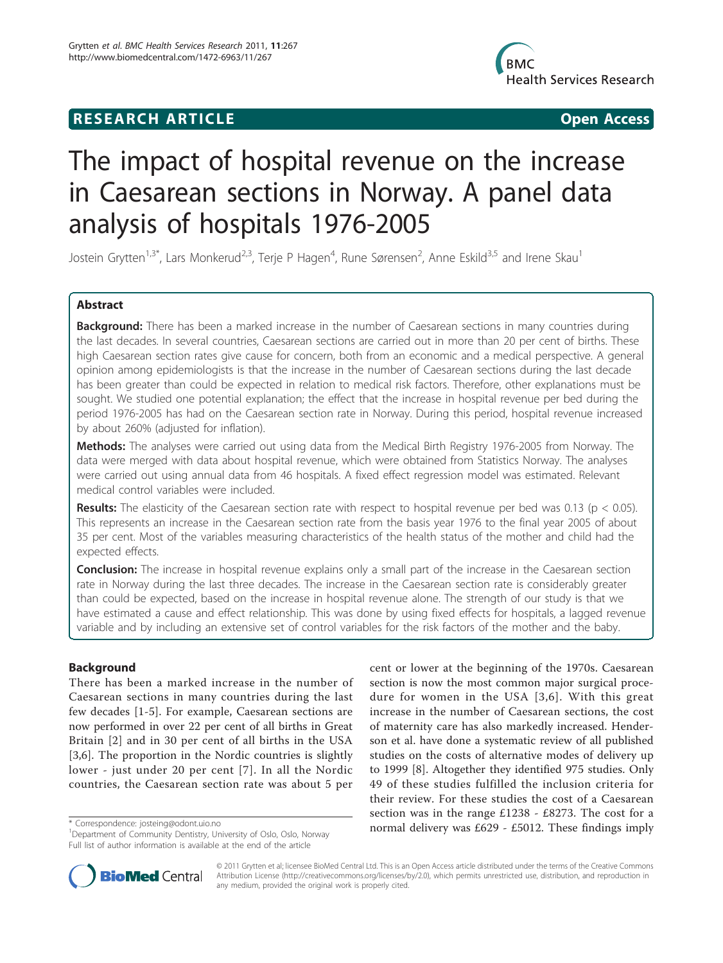# **RESEARCH ARTICLE Example 2018 12:00 Open Access**



# The impact of hospital revenue on the increase in Caesarean sections in Norway. A panel data analysis of hospitals 1976-2005

Jostein Grytten $^{1,3^*}$ , Lars Monkerud $^{2,3}$ , Terje P Hagen $^4$ , Rune Sørensen $^2$ , Anne Eskild $^{3,5}$  and Irene Skau $^1$ 

# Abstract

**Background:** There has been a marked increase in the number of Caesarean sections in many countries during the last decades. In several countries, Caesarean sections are carried out in more than 20 per cent of births. These high Caesarean section rates give cause for concern, both from an economic and a medical perspective. A general opinion among epidemiologists is that the increase in the number of Caesarean sections during the last decade has been greater than could be expected in relation to medical risk factors. Therefore, other explanations must be sought. We studied one potential explanation; the effect that the increase in hospital revenue per bed during the period 1976-2005 has had on the Caesarean section rate in Norway. During this period, hospital revenue increased by about 260% (adjusted for inflation).

Methods: The analyses were carried out using data from the Medical Birth Registry 1976-2005 from Norway. The data were merged with data about hospital revenue, which were obtained from Statistics Norway. The analyses were carried out using annual data from 46 hospitals. A fixed effect regression model was estimated. Relevant medical control variables were included.

**Results:** The elasticity of the Caesarean section rate with respect to hospital revenue per bed was 0.13 ( $p < 0.05$ ). This represents an increase in the Caesarean section rate from the basis year 1976 to the final year 2005 of about 35 per cent. Most of the variables measuring characteristics of the health status of the mother and child had the expected effects.

**Conclusion:** The increase in hospital revenue explains only a small part of the increase in the Caesarean section rate in Norway during the last three decades. The increase in the Caesarean section rate is considerably greater than could be expected, based on the increase in hospital revenue alone. The strength of our study is that we have estimated a cause and effect relationship. This was done by using fixed effects for hospitals, a lagged revenue variable and by including an extensive set of control variables for the risk factors of the mother and the baby.

# Background

There has been a marked increase in the number of Caesarean sections in many countries during the last few decades [[1-5\]](#page-7-0). For example, Caesarean sections are now performed in over 22 per cent of all births in Great Britain [[2\]](#page-7-0) and in 30 per cent of all births in the USA [[3,6](#page-7-0)]. The proportion in the Nordic countries is slightly lower - just under 20 per cent [[7\]](#page-8-0). In all the Nordic countries, the Caesarean section rate was about 5 per

cent or lower at the beginning of the 1970s. Caesarean section is now the most common major surgical procedure for women in the USA [[3](#page-7-0),[6](#page-7-0)]. With this great increase in the number of Caesarean sections, the cost of maternity care has also markedly increased. Henderson et al. have done a systematic review of all published studies on the costs of alternative modes of delivery up to 1999 [[8\]](#page-8-0). Altogether they identified 975 studies. Only 49 of these studies fulfilled the inclusion criteria for their review. For these studies the cost of a Caesarean section was in the range £1238 - £8273. The cost for a \* Correspondence: [josteing@odont.uio.no](mailto:josteing@odont.uio.no)<br> **normal delivery was £629 - £5012. These findings imply** 



© 2011 Grytten et al; licensee BioMed Central Ltd. This is an Open Access article distributed under the terms of the Creative Commons Attribution License [\(http://creativecommons.org/licenses/by/2.0](http://creativecommons.org/licenses/by/2.0)), which permits unrestricted use, distribution, and reproduction in any medium, provided the original work is properly cited.

<sup>&</sup>lt;sup>1</sup> Department of Community Dentistry, University of Oslo, Oslo, Norway Full list of author information is available at the end of the article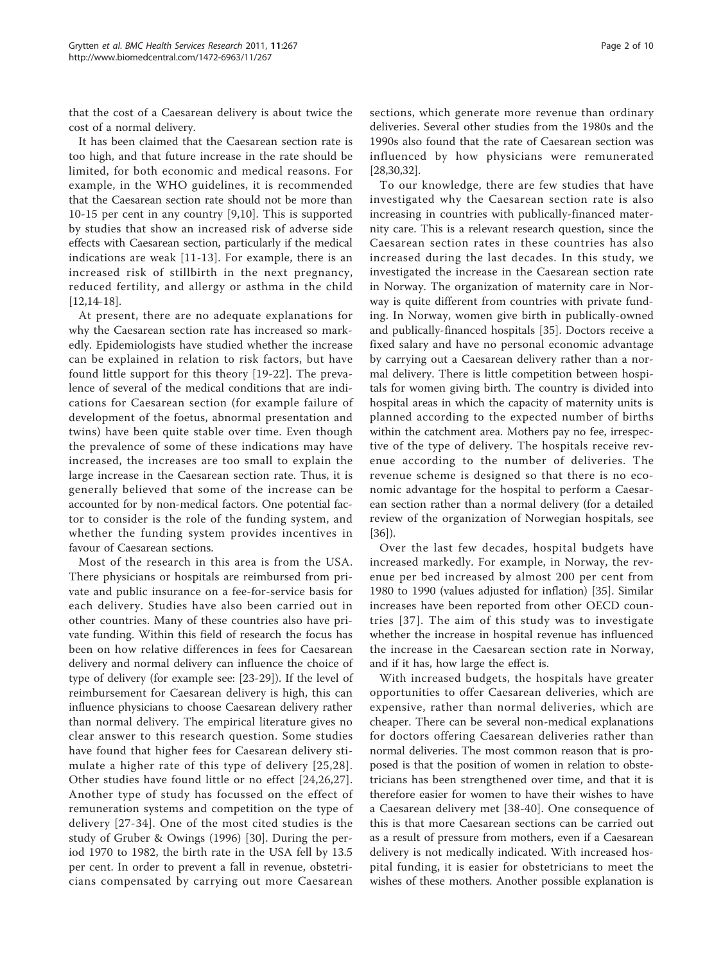that the cost of a Caesarean delivery is about twice the cost of a normal delivery.

It has been claimed that the Caesarean section rate is too high, and that future increase in the rate should be limited, for both economic and medical reasons. For example, in the WHO guidelines, it is recommended that the Caesarean section rate should not be more than 10-15 per cent in any country [\[9](#page-8-0),[10\]](#page-8-0). This is supported by studies that show an increased risk of adverse side effects with Caesarean section, particularly if the medical indications are weak [[11](#page-8-0)-[13](#page-8-0)]. For example, there is an increased risk of stillbirth in the next pregnancy, reduced fertility, and allergy or asthma in the child [[12,14-18\]](#page-8-0).

At present, there are no adequate explanations for why the Caesarean section rate has increased so markedly. Epidemiologists have studied whether the increase can be explained in relation to risk factors, but have found little support for this theory [[19](#page-8-0)-[22](#page-8-0)]. The prevalence of several of the medical conditions that are indications for Caesarean section (for example failure of development of the foetus, abnormal presentation and twins) have been quite stable over time. Even though the prevalence of some of these indications may have increased, the increases are too small to explain the large increase in the Caesarean section rate. Thus, it is generally believed that some of the increase can be accounted for by non-medical factors. One potential factor to consider is the role of the funding system, and whether the funding system provides incentives in favour of Caesarean sections.

Most of the research in this area is from the USA. There physicians or hospitals are reimbursed from private and public insurance on a fee-for-service basis for each delivery. Studies have also been carried out in other countries. Many of these countries also have private funding. Within this field of research the focus has been on how relative differences in fees for Caesarean delivery and normal delivery can influence the choice of type of delivery (for example see: [\[23-29](#page-8-0)]). If the level of reimbursement for Caesarean delivery is high, this can influence physicians to choose Caesarean delivery rather than normal delivery. The empirical literature gives no clear answer to this research question. Some studies have found that higher fees for Caesarean delivery stimulate a higher rate of this type of delivery [[25,28\]](#page-8-0). Other studies have found little or no effect [[24,26,27](#page-8-0)]. Another type of study has focussed on the effect of remuneration systems and competition on the type of delivery [[27](#page-8-0)-[34](#page-8-0)]. One of the most cited studies is the study of Gruber & Owings (1996) [[30](#page-8-0)]. During the period 1970 to 1982, the birth rate in the USA fell by 13.5 per cent. In order to prevent a fall in revenue, obstetricians compensated by carrying out more Caesarean Page 2 of 10

sections, which generate more revenue than ordinary deliveries. Several other studies from the 1980s and the 1990s also found that the rate of Caesarean section was influenced by how physicians were remunerated [[28,30,32](#page-8-0)].

To our knowledge, there are few studies that have investigated why the Caesarean section rate is also increasing in countries with publically-financed maternity care. This is a relevant research question, since the Caesarean section rates in these countries has also increased during the last decades. In this study, we investigated the increase in the Caesarean section rate in Norway. The organization of maternity care in Norway is quite different from countries with private funding. In Norway, women give birth in publically-owned and publically-financed hospitals [[35](#page-8-0)]. Doctors receive a fixed salary and have no personal economic advantage by carrying out a Caesarean delivery rather than a normal delivery. There is little competition between hospitals for women giving birth. The country is divided into hospital areas in which the capacity of maternity units is planned according to the expected number of births within the catchment area. Mothers pay no fee, irrespective of the type of delivery. The hospitals receive revenue according to the number of deliveries. The revenue scheme is designed so that there is no economic advantage for the hospital to perform a Caesarean section rather than a normal delivery (for a detailed review of the organization of Norwegian hospitals, see [[36\]](#page-8-0)).

Over the last few decades, hospital budgets have increased markedly. For example, in Norway, the revenue per bed increased by almost 200 per cent from 1980 to 1990 (values adjusted for inflation) [[35\]](#page-8-0). Similar increases have been reported from other OECD countries [[37](#page-8-0)]. The aim of this study was to investigate whether the increase in hospital revenue has influenced the increase in the Caesarean section rate in Norway, and if it has, how large the effect is.

With increased budgets, the hospitals have greater opportunities to offer Caesarean deliveries, which are expensive, rather than normal deliveries, which are cheaper. There can be several non-medical explanations for doctors offering Caesarean deliveries rather than normal deliveries. The most common reason that is proposed is that the position of women in relation to obstetricians has been strengthened over time, and that it is therefore easier for women to have their wishes to have a Caesarean delivery met [[38-40\]](#page-8-0). One consequence of this is that more Caesarean sections can be carried out as a result of pressure from mothers, even if a Caesarean delivery is not medically indicated. With increased hospital funding, it is easier for obstetricians to meet the wishes of these mothers. Another possible explanation is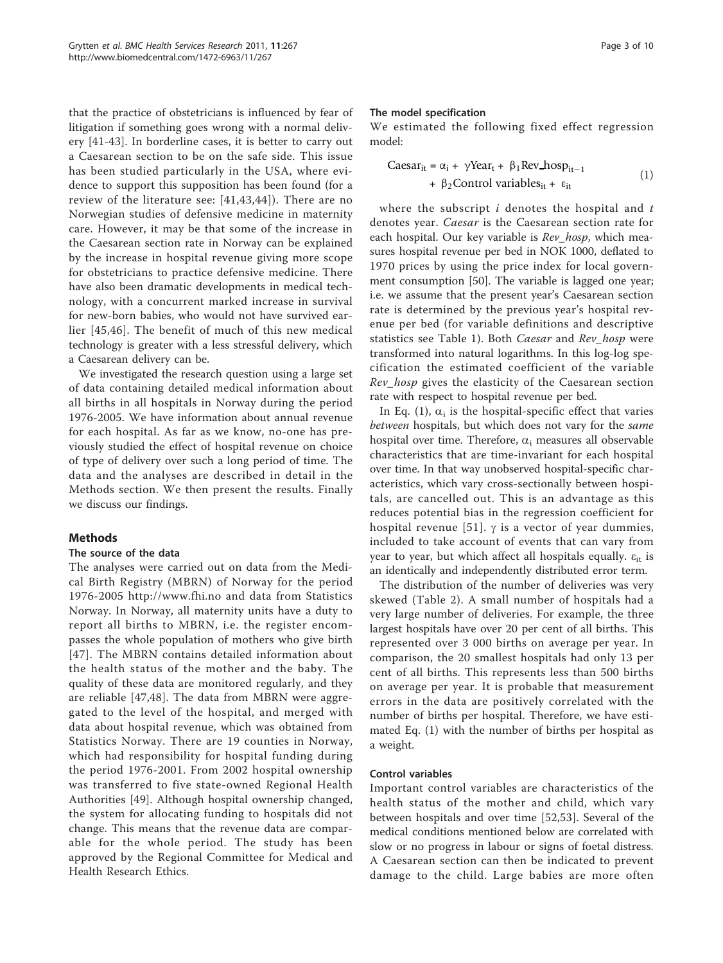that the practice of obstetricians is influenced by fear of litigation if something goes wrong with a normal delivery [[41](#page-8-0)-[43\]](#page-8-0). In borderline cases, it is better to carry out a Caesarean section to be on the safe side. This issue has been studied particularly in the USA, where evidence to support this supposition has been found (for a review of the literature see: [[41,43,44\]](#page-8-0)). There are no Norwegian studies of defensive medicine in maternity care. However, it may be that some of the increase in the Caesarean section rate in Norway can be explained by the increase in hospital revenue giving more scope for obstetricians to practice defensive medicine. There have also been dramatic developments in medical technology, with a concurrent marked increase in survival for new-born babies, who would not have survived earlier [[45](#page-8-0),[46](#page-8-0)]. The benefit of much of this new medical technology is greater with a less stressful delivery, which a Caesarean delivery can be.

We investigated the research question using a large set of data containing detailed medical information about all births in all hospitals in Norway during the period 1976-2005. We have information about annual revenue for each hospital. As far as we know, no-one has previously studied the effect of hospital revenue on choice of type of delivery over such a long period of time. The data and the analyses are described in detail in the Methods section. We then present the results. Finally we discuss our findings.

# Methods

# The source of the data

The analyses were carried out on data from the Medical Birth Registry (MBRN) of Norway for the period 1976-2005<http://www.fhi.no> and data from Statistics Norway. In Norway, all maternity units have a duty to report all births to MBRN, i.e. the register encompasses the whole population of mothers who give birth [[47](#page-8-0)]. The MBRN contains detailed information about the health status of the mother and the baby. The quality of these data are monitored regularly, and they are reliable [[47,48\]](#page-8-0). The data from MBRN were aggregated to the level of the hospital, and merged with data about hospital revenue, which was obtained from Statistics Norway. There are 19 counties in Norway, which had responsibility for hospital funding during the period 1976-2001. From 2002 hospital ownership was transferred to five state-owned Regional Health Authorities [\[49](#page-8-0)]. Although hospital ownership changed, the system for allocating funding to hospitals did not change. This means that the revenue data are comparable for the whole period. The study has been approved by the Regional Committee for Medical and Health Research Ethics.

#### The model specification

We estimated the following fixed effect regression model:

$$
Caesarit = αi + γYeart + β1Rev_hospit-1 + β2Control variablesit + εit
$$
 (1)

where the subscript  $i$  denotes the hospital and  $t$ denotes year. Caesar is the Caesarean section rate for each hospital. Our key variable is Rev\_hosp, which measures hospital revenue per bed in NOK 1000, deflated to 1970 prices by using the price index for local government consumption [\[50](#page-8-0)]. The variable is lagged one year; i.e. we assume that the present year's Caesarean section rate is determined by the previous year's hospital revenue per bed (for variable definitions and descriptive statistics see Table [1](#page-3-0)). Both Caesar and Rev\_hosp were transformed into natural logarithms. In this log-log specification the estimated coefficient of the variable Rev\_hosp gives the elasticity of the Caesarean section rate with respect to hospital revenue per bed.

In Eq. (1),  $\alpha_i$  is the hospital-specific effect that varies between hospitals, but which does not vary for the *same* hospital over time. Therefore,  $\alpha_i$  measures all observable characteristics that are time-invariant for each hospital over time. In that way unobserved hospital-specific characteristics, which vary cross-sectionally between hospitals, are cancelled out. This is an advantage as this reduces potential bias in the regression coefficient for hospital revenue [[51\]](#page-8-0).  $\gamma$  is a vector of year dummies, included to take account of events that can vary from year to year, but which affect all hospitals equally.  $\varepsilon_{it}$  is an identically and independently distributed error term.

The distribution of the number of deliveries was very skewed (Table [2](#page-3-0)). A small number of hospitals had a very large number of deliveries. For example, the three largest hospitals have over 20 per cent of all births. This represented over 3 000 births on average per year. In comparison, the 20 smallest hospitals had only 13 per cent of all births. This represents less than 500 births on average per year. It is probable that measurement errors in the data are positively correlated with the number of births per hospital. Therefore, we have estimated Eq. (1) with the number of births per hospital as a weight.

# Control variables

Important control variables are characteristics of the health status of the mother and child, which vary between hospitals and over time [[52,53\]](#page-8-0). Several of the medical conditions mentioned below are correlated with slow or no progress in labour or signs of foetal distress. A Caesarean section can then be indicated to prevent damage to the child. Large babies are more often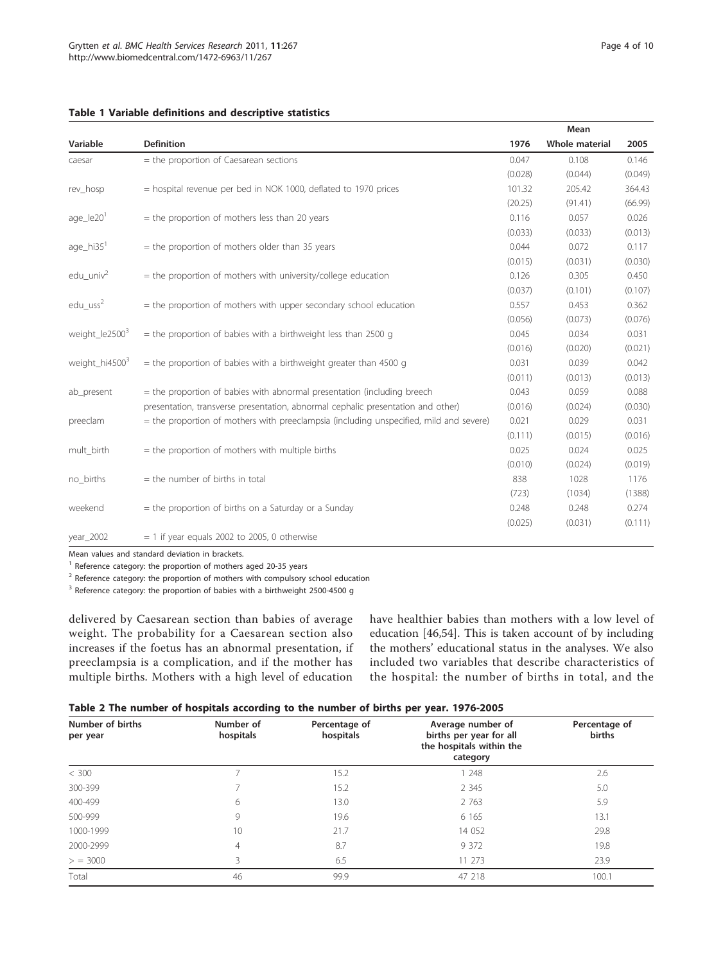<span id="page-3-0"></span>

|  |  |  |  |  | Table 1 Variable definitions and descriptive statistics |  |
|--|--|--|--|--|---------------------------------------------------------|--|
|--|--|--|--|--|---------------------------------------------------------|--|

|                            |                                                                                        | Mean    |                       |         |  |
|----------------------------|----------------------------------------------------------------------------------------|---------|-----------------------|---------|--|
| Variable                   | <b>Definition</b>                                                                      | 1976    | <b>Whole material</b> | 2005    |  |
| caesar                     | $=$ the proportion of Caesarean sections                                               | 0.047   | 0.108                 | 0.146   |  |
|                            |                                                                                        | (0.028) | (0.044)               | (0.049) |  |
| rev_hosp                   | = hospital revenue per bed in NOK 1000, deflated to 1970 prices                        | 101.32  | 205.42                | 364.43  |  |
|                            |                                                                                        | (20.25) | (91.41)               | (66.99) |  |
| $aqe$ $ e20$ <sup>1</sup>  | $=$ the proportion of mothers less than 20 years                                       | 0.116   | 0.057                 | 0.026   |  |
|                            |                                                                                        | (0.033) | (0.033)               | (0.013) |  |
| age_hi35 <sup>1</sup>      | $=$ the proportion of mothers older than 35 years                                      | 0.044   | 0.072                 | 0.117   |  |
|                            |                                                                                        | (0.015) | (0.031)               | (0.030) |  |
| $edu_$ univ <sup>2</sup>   | = the proportion of mothers with university/college education                          | 0.126   | 0.305                 | 0.450   |  |
|                            |                                                                                        | (0.037) | (0.101)               | (0.107) |  |
| $edu$ _uss <sup>2</sup>    | = the proportion of mothers with upper secondary school education                      | 0.557   | 0.453                 | 0.362   |  |
|                            |                                                                                        | (0.056) | (0.073)               | (0.076) |  |
| weight le2500 <sup>3</sup> | $=$ the proportion of babies with a birthweight less than 2500 g                       | 0.045   | 0.034                 | 0.031   |  |
|                            |                                                                                        | (0.016) | (0.020)               | (0.021) |  |
| weight hi4500 <sup>3</sup> | $=$ the proportion of babies with a birthweight greater than 4500 g                    | 0.031   | 0.039                 | 0.042   |  |
|                            |                                                                                        | (0.011) | (0.013)               | (0.013) |  |
| ab_present                 | = the proportion of babies with abnormal presentation (including breech                | 0.043   | 0.059                 | 0.088   |  |
|                            | presentation, transverse presentation, abnormal cephalic presentation and other)       | (0.016) | (0.024)               | (0.030) |  |
| preeclam                   | = the proportion of mothers with preeclampsia (including unspecified, mild and severe) | 0.021   | 0.029                 | 0.031   |  |
|                            |                                                                                        | (0.111) | (0.015)               | (0.016) |  |
| mult birth                 | = the proportion of mothers with multiple births                                       | 0.025   | 0.024                 | 0.025   |  |
|                            |                                                                                        | (0.010) | (0.024)               | (0.019) |  |
| no births                  | $=$ the number of births in total                                                      | 838     | 1028                  | 1176    |  |
|                            |                                                                                        | (723)   | (1034)                | (1388)  |  |
| weekend                    | $=$ the proportion of births on a Saturday or a Sunday                                 | 0.248   | 0.248                 | 0.274   |  |
|                            |                                                                                        | (0.025) | (0.031)               | (0.111) |  |
| year_2002                  | $= 1$ if year equals 2002 to 2005, 0 otherwise                                         |         |                       |         |  |

Mean values and standard deviation in brackets.

<sup>1</sup> Reference category: the proportion of mothers aged 20-35 years

<sup>2</sup> Reference category: the proportion of mothers with compulsory school education

<sup>3</sup> Reference category: the proportion of babies with a birthweight 2500-4500 g

delivered by Caesarean section than babies of average weight. The probability for a Caesarean section also increases if the foetus has an abnormal presentation, if preeclampsia is a complication, and if the mother has multiple births. Mothers with a high level of education

have healthier babies than mothers with a low level of education [[46,54\]](#page-8-0). This is taken account of by including the mothers' educational status in the analyses. We also included two variables that describe characteristics of the hospital: the number of births in total, and the

| Table 2 The number of hospitals according to the number of births per year. 1976-2005 |  |  |  |  |  |
|---------------------------------------------------------------------------------------|--|--|--|--|--|
|---------------------------------------------------------------------------------------|--|--|--|--|--|

| Number of births | Number of | Percentage of | Average number of                                               | Percentage of |  |
|------------------|-----------|---------------|-----------------------------------------------------------------|---------------|--|
| per year         | hospitals | hospitals     | births per year for all<br>the hospitals within the<br>category | <b>births</b> |  |
| < 300            |           | 15.2          | 1 2 4 8                                                         | 2.6           |  |
| 300-399          |           | 15.2          | 2 3 4 5                                                         | 5.0           |  |
| 400-499          | 6         | 13.0          | 2 7 6 3                                                         | 5.9           |  |
| 500-999          | 9         | 19.6          | 6 1 6 5                                                         | 13.1          |  |
| 1000-1999        | 10        | 21.7          | 14 052                                                          | 29.8          |  |
| 2000-2999        | 4         | 8.7           | 9 3 7 2                                                         | 19.8          |  |
| > 3000           | ς         | 6.5           | 11 273                                                          | 23.9          |  |
| Total            | 46        | 99.9          | 47 218                                                          | 100.1         |  |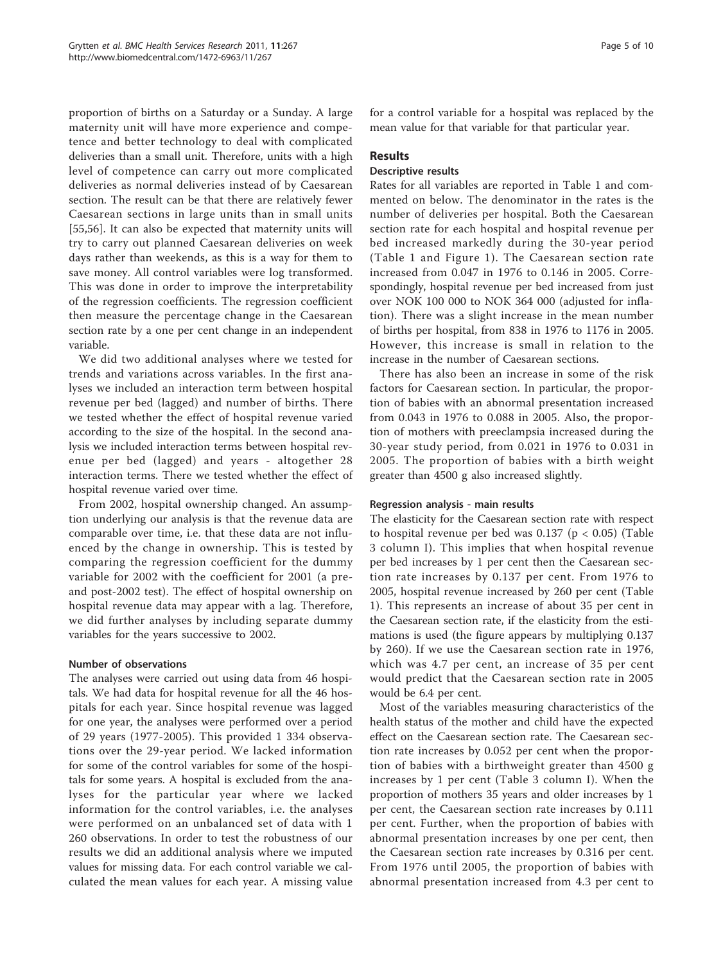proportion of births on a Saturday or a Sunday. A large maternity unit will have more experience and competence and better technology to deal with complicated deliveries than a small unit. Therefore, units with a high level of competence can carry out more complicated deliveries as normal deliveries instead of by Caesarean section. The result can be that there are relatively fewer Caesarean sections in large units than in small units [[55,56\]](#page-8-0). It can also be expected that maternity units will try to carry out planned Caesarean deliveries on week days rather than weekends, as this is a way for them to save money. All control variables were log transformed. This was done in order to improve the interpretability of the regression coefficients. The regression coefficient then measure the percentage change in the Caesarean section rate by a one per cent change in an independent variable.

We did two additional analyses where we tested for trends and variations across variables. In the first analyses we included an interaction term between hospital revenue per bed (lagged) and number of births. There we tested whether the effect of hospital revenue varied according to the size of the hospital. In the second analysis we included interaction terms between hospital revenue per bed (lagged) and years - altogether 28 interaction terms. There we tested whether the effect of hospital revenue varied over time.

From 2002, hospital ownership changed. An assumption underlying our analysis is that the revenue data are comparable over time, i.e. that these data are not influenced by the change in ownership. This is tested by comparing the regression coefficient for the dummy variable for 2002 with the coefficient for 2001 (a preand post-2002 test). The effect of hospital ownership on hospital revenue data may appear with a lag. Therefore, we did further analyses by including separate dummy variables for the years successive to 2002.

# Number of observations

The analyses were carried out using data from 46 hospitals. We had data for hospital revenue for all the 46 hospitals for each year. Since hospital revenue was lagged for one year, the analyses were performed over a period of 29 years (1977-2005). This provided 1 334 observations over the 29-year period. We lacked information for some of the control variables for some of the hospitals for some years. A hospital is excluded from the analyses for the particular year where we lacked information for the control variables, i.e. the analyses were performed on an unbalanced set of data with 1 260 observations. In order to test the robustness of our results we did an additional analysis where we imputed values for missing data. For each control variable we calculated the mean values for each year. A missing value for a control variable for a hospital was replaced by the mean value for that variable for that particular year.

#### Results

# Descriptive results

Rates for all variables are reported in Table [1](#page-3-0) and commented on below. The denominator in the rates is the number of deliveries per hospital. Both the Caesarean section rate for each hospital and hospital revenue per bed increased markedly during the 30-year period (Table [1](#page-3-0) and Figure [1\)](#page-5-0). The Caesarean section rate increased from 0.047 in 1976 to 0.146 in 2005. Correspondingly, hospital revenue per bed increased from just over NOK 100 000 to NOK 364 000 (adjusted for inflation). There was a slight increase in the mean number of births per hospital, from 838 in 1976 to 1176 in 2005. However, this increase is small in relation to the increase in the number of Caesarean sections.

There has also been an increase in some of the risk factors for Caesarean section. In particular, the proportion of babies with an abnormal presentation increased from 0.043 in 1976 to 0.088 in 2005. Also, the proportion of mothers with preeclampsia increased during the 30-year study period, from 0.021 in 1976 to 0.031 in 2005. The proportion of babies with a birth weight greater than 4500 g also increased slightly.

# Regression analysis - main results

The elasticity for the Caesarean section rate with respect to hospital revenue per bed was  $0.137$  (p < 0.05) (Table [3](#page-6-0) column I). This implies that when hospital revenue per bed increases by 1 per cent then the Caesarean section rate increases by 0.137 per cent. From 1976 to 2005, hospital revenue increased by 260 per cent (Table [1\)](#page-3-0). This represents an increase of about 35 per cent in the Caesarean section rate, if the elasticity from the estimations is used (the figure appears by multiplying 0.137 by 260). If we use the Caesarean section rate in 1976, which was 4.7 per cent, an increase of 35 per cent would predict that the Caesarean section rate in 2005 would be 6.4 per cent.

Most of the variables measuring characteristics of the health status of the mother and child have the expected effect on the Caesarean section rate. The Caesarean section rate increases by 0.052 per cent when the proportion of babies with a birthweight greater than 4500 g increases by 1 per cent (Table [3](#page-6-0) column I). When the proportion of mothers 35 years and older increases by 1 per cent, the Caesarean section rate increases by 0.111 per cent. Further, when the proportion of babies with abnormal presentation increases by one per cent, then the Caesarean section rate increases by 0.316 per cent. From 1976 until 2005, the proportion of babies with abnormal presentation increased from 4.3 per cent to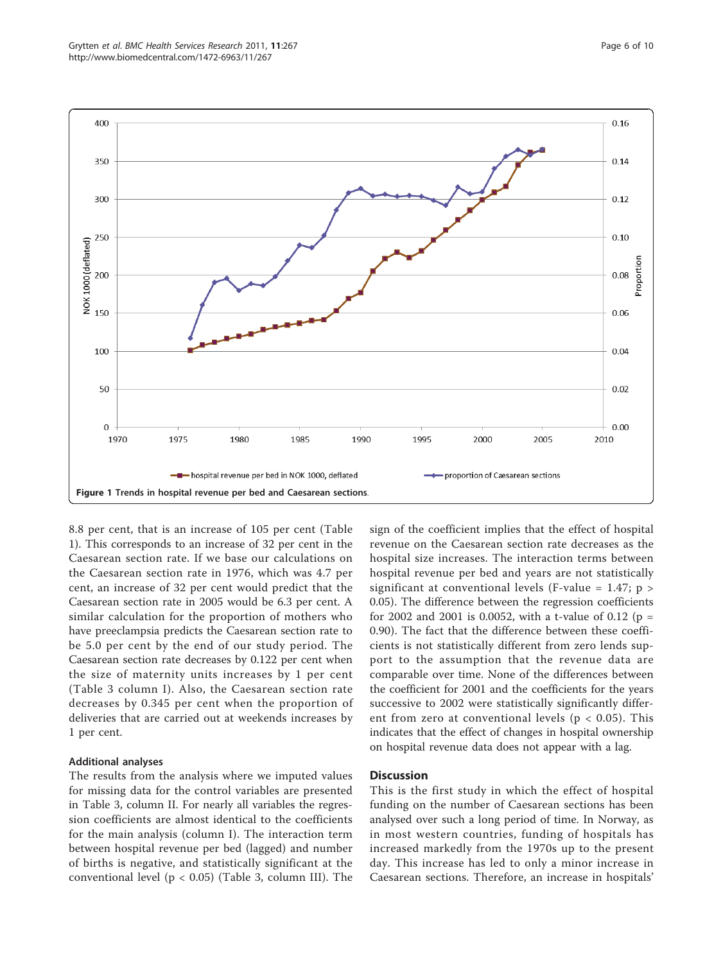<span id="page-5-0"></span>

8.8 per cent, that is an increase of 105 per cent (Table [1\)](#page-3-0). This corresponds to an increase of 32 per cent in the Caesarean section rate. If we base our calculations on the Caesarean section rate in 1976, which was 4.7 per cent, an increase of 32 per cent would predict that the Caesarean section rate in 2005 would be 6.3 per cent. A similar calculation for the proportion of mothers who have preeclampsia predicts the Caesarean section rate to be 5.0 per cent by the end of our study period. The Caesarean section rate decreases by 0.122 per cent when the size of maternity units increases by 1 per cent (Table [3](#page-6-0) column I). Also, the Caesarean section rate decreases by 0.345 per cent when the proportion of deliveries that are carried out at weekends increases by 1 per cent.

#### Additional analyses

The results from the analysis where we imputed values for missing data for the control variables are presented in Table [3,](#page-6-0) column II. For nearly all variables the regression coefficients are almost identical to the coefficients for the main analysis (column I). The interaction term between hospital revenue per bed (lagged) and number of births is negative, and statistically significant at the conventional level ( $p < 0.05$ ) (Table [3,](#page-6-0) column III). The

sign of the coefficient implies that the effect of hospital revenue on the Caesarean section rate decreases as the hospital size increases. The interaction terms between hospital revenue per bed and years are not statistically significant at conventional levels (F-value =  $1.47$ ; p > 0.05). The difference between the regression coefficients for 2002 and 2001 is 0.0052, with a t-value of 0.12 (p = 0.90). The fact that the difference between these coefficients is not statistically different from zero lends support to the assumption that the revenue data are comparable over time. None of the differences between the coefficient for 2001 and the coefficients for the years successive to 2002 were statistically significantly different from zero at conventional levels ( $p < 0.05$ ). This indicates that the effect of changes in hospital ownership on hospital revenue data does not appear with a lag.

#### **Discussion**

This is the first study in which the effect of hospital funding on the number of Caesarean sections has been analysed over such a long period of time. In Norway, as in most western countries, funding of hospitals has increased markedly from the 1970s up to the present day. This increase has led to only a minor increase in Caesarean sections. Therefore, an increase in hospitals'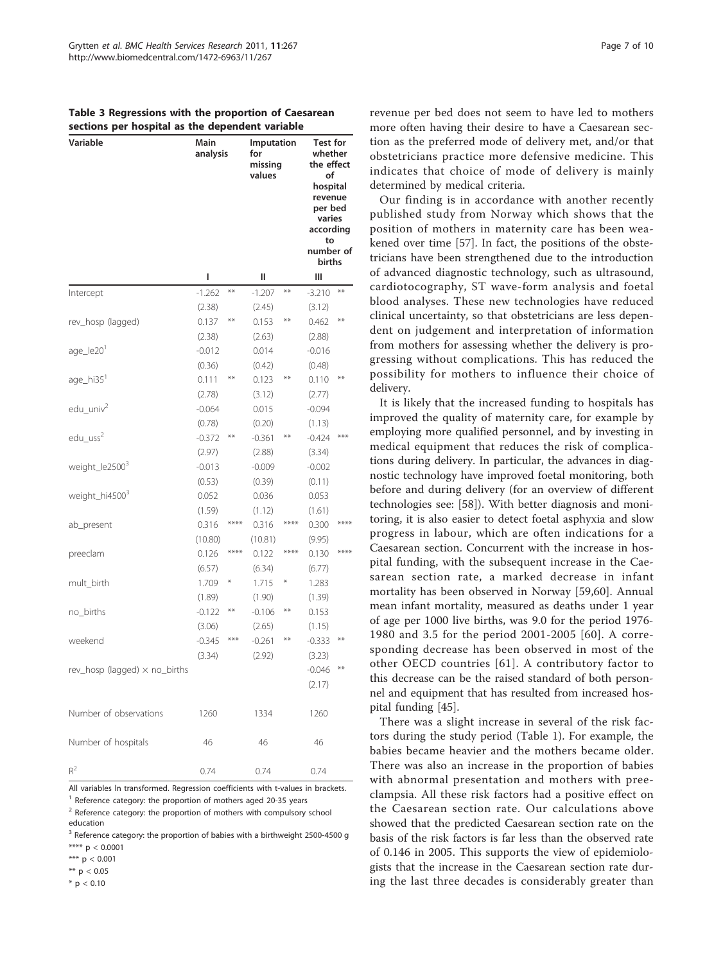<span id="page-6-0"></span>Table 3 Regressions with the proportion of Caesarean sections per hospital as the dependent variable

| Variable                             | Main<br>analysis |       | Imputation<br>for<br>missing<br>values |       | <b>Test for</b><br>whether<br>the effect<br>οf<br>hospital<br>revenue<br>per bed<br>varies<br>according<br>to |      |
|--------------------------------------|------------------|-------|----------------------------------------|-------|---------------------------------------------------------------------------------------------------------------|------|
|                                      |                  |       |                                        |       | number of<br>births                                                                                           |      |
|                                      | ı                |       | Ш                                      |       | Ш                                                                                                             |      |
| Intercept                            | $-1.262$         | **    | $-1.207$                               | $***$ | $-3.210$                                                                                                      | **   |
|                                      | (2.38)           |       | (2.45)                                 |       | (3.12)                                                                                                        |      |
| rev_hosp (lagged)                    | 0.137            | **    | 0.153                                  | $***$ | 0.462                                                                                                         | **   |
|                                      | (2.38)           |       | (2.63)                                 |       | (2.88)                                                                                                        |      |
| age_le201                            | $-0.012$         |       | 0.014                                  |       | $-0.016$                                                                                                      |      |
|                                      | (0.36)           |       | (0.42)                                 |       | (0.48)                                                                                                        |      |
| age_hi35 <sup>1</sup>                | 0.111            | **    | 0.123                                  | **    | 0.110                                                                                                         | **   |
|                                      | (2.78)           |       | (3.12)                                 |       | (2.77)                                                                                                        |      |
| edu_univ <sup>2</sup>                | $-0.064$         |       | 0.015                                  |       | $-0.094$                                                                                                      |      |
|                                      | (0.78)           |       | (0.20)                                 |       | (1.13)                                                                                                        |      |
| $edu$ _uss <sup>2</sup>              | $-0.372$         | **    | $-0.361$                               | **    | $-0.424$                                                                                                      | ***  |
|                                      | (2.97)           |       | (2.88)                                 |       | (3.34)                                                                                                        |      |
| weight_le25003                       | $-0.013$         |       | $-0.009$                               |       | $-0.002$                                                                                                      |      |
|                                      | (0.53)           |       | (0.39)                                 |       | (0.11)                                                                                                        |      |
| weight_hi45003                       | 0.052            |       | 0.036                                  |       | 0.053                                                                                                         |      |
|                                      | (1.59)           |       | (1.12)                                 |       | (1.61)                                                                                                        |      |
| ab_present                           | 0.316            | ****  | 0.316                                  | ****  | 0.300                                                                                                         | **** |
|                                      | (10.80)          |       | (10.81)                                |       | (9.95)                                                                                                        |      |
| preeclam                             | 0.126            | ****  | 0.122                                  | ****  | 0.130                                                                                                         | **** |
|                                      | (6.57)           |       | (6.34)                                 |       | (6.77)                                                                                                        |      |
| mult_birth                           | 1.709            | ₩     | 1.715                                  | ₩     | 1.283                                                                                                         |      |
|                                      | (1.89)           |       | (1.90)                                 |       | (1.39)                                                                                                        |      |
| no births                            | $-0.122$         | $***$ | $-0.106$                               | $***$ | 0.153                                                                                                         |      |
|                                      | (3.06)           |       | (2.65)                                 |       | (1.15)                                                                                                        |      |
| weekend                              | $-0.345$         | ***   | $-0.261$                               | **    | $-0.333$                                                                                                      | **   |
|                                      | (3.34)           |       | (2.92)                                 |       | (3.23)                                                                                                        |      |
| rev_hosp (lagged) $\times$ no_births |                  |       |                                        |       | $-0.046$                                                                                                      | **   |
|                                      |                  |       |                                        |       | (2.17)                                                                                                        |      |
| Number of observations               | 1260             |       | 1334                                   |       | 1260                                                                                                          |      |
| Number of hospitals                  | 46               |       | 46                                     |       | 46                                                                                                            |      |
| $R^2$                                | 0.74             |       | 0.74                                   |       | 0.74                                                                                                          |      |

All variables ln transformed. Regression coefficients with t-values in brackets. <sup>1</sup> Reference category: the proportion of mothers aged 20-35 years

<sup>2</sup> Reference category: the proportion of mothers with compulsory school education

<sup>3</sup> Reference category: the proportion of babies with a birthweight 2500-4500 g \*\*\*\*  $p < 0.0001$ 

\*\*\* p < 0.001

\*\*  $p < 0.05$ 

 $*$  p < 0.10

revenue per bed does not seem to have led to mothers more often having their desire to have a Caesarean section as the preferred mode of delivery met, and/or that obstetricians practice more defensive medicine. This indicates that choice of mode of delivery is mainly determined by medical criteria.

Our finding is in accordance with another recently published study from Norway which shows that the position of mothers in maternity care has been weakened over time [\[57](#page-8-0)]. In fact, the positions of the obstetricians have been strengthened due to the introduction of advanced diagnostic technology, such as ultrasound, cardiotocography, ST wave-form analysis and foetal blood analyses. These new technologies have reduced clinical uncertainty, so that obstetricians are less dependent on judgement and interpretation of information from mothers for assessing whether the delivery is progressing without complications. This has reduced the possibility for mothers to influence their choice of delivery.

It is likely that the increased funding to hospitals has improved the quality of maternity care, for example by employing more qualified personnel, and by investing in medical equipment that reduces the risk of complications during delivery. In particular, the advances in diagnostic technology have improved foetal monitoring, both before and during delivery (for an overview of different technologies see: [[58\]](#page-8-0)). With better diagnosis and monitoring, it is also easier to detect foetal asphyxia and slow progress in labour, which are often indications for a Caesarean section. Concurrent with the increase in hospital funding, with the subsequent increase in the Caesarean section rate, a marked decrease in infant mortality has been observed in Norway [[59,60](#page-8-0)]. Annual mean infant mortality, measured as deaths under 1 year of age per 1000 live births, was 9.0 for the period 1976- 1980 and 3.5 for the period 2001-2005 [[60](#page-8-0)]. A corresponding decrease has been observed in most of the other OECD countries [[61\]](#page-8-0). A contributory factor to this decrease can be the raised standard of both personnel and equipment that has resulted from increased hospital funding [[45](#page-8-0)].

There was a slight increase in several of the risk factors during the study period (Table [1](#page-3-0)). For example, the babies became heavier and the mothers became older. There was also an increase in the proportion of babies with abnormal presentation and mothers with preeclampsia. All these risk factors had a positive effect on the Caesarean section rate. Our calculations above showed that the predicted Caesarean section rate on the basis of the risk factors is far less than the observed rate of 0.146 in 2005. This supports the view of epidemiologists that the increase in the Caesarean section rate during the last three decades is considerably greater than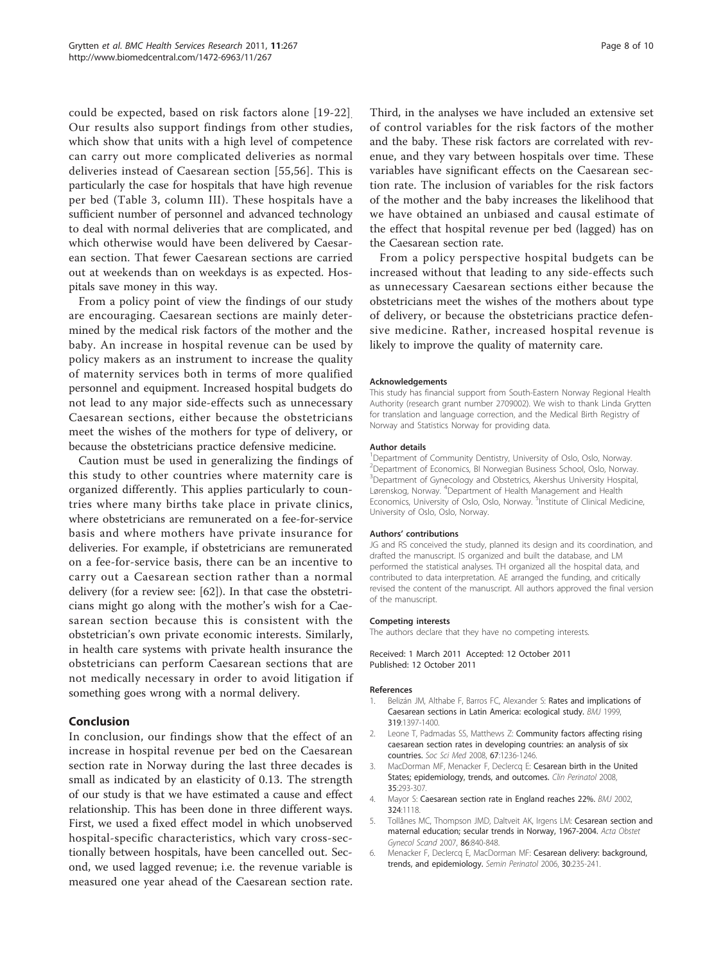<span id="page-7-0"></span>could be expected, based on risk factors alone [[19-22\]](#page-8-0). Our results also support findings from other studies, which show that units with a high level of competence can carry out more complicated deliveries as normal deliveries instead of Caesarean section [[55,56](#page-8-0)]. This is particularly the case for hospitals that have high revenue per bed (Table [3,](#page-6-0) column III). These hospitals have a sufficient number of personnel and advanced technology to deal with normal deliveries that are complicated, and which otherwise would have been delivered by Caesarean section. That fewer Caesarean sections are carried out at weekends than on weekdays is as expected. Hospitals save money in this way.

From a policy point of view the findings of our study are encouraging. Caesarean sections are mainly determined by the medical risk factors of the mother and the baby. An increase in hospital revenue can be used by policy makers as an instrument to increase the quality of maternity services both in terms of more qualified personnel and equipment. Increased hospital budgets do not lead to any major side-effects such as unnecessary Caesarean sections, either because the obstetricians meet the wishes of the mothers for type of delivery, or because the obstetricians practice defensive medicine.

Caution must be used in generalizing the findings of this study to other countries where maternity care is organized differently. This applies particularly to countries where many births take place in private clinics, where obstetricians are remunerated on a fee-for-service basis and where mothers have private insurance for deliveries. For example, if obstetricians are remunerated on a fee-for-service basis, there can be an incentive to carry out a Caesarean section rather than a normal delivery (for a review see: [[62](#page-8-0)]). In that case the obstetricians might go along with the mother's wish for a Caesarean section because this is consistent with the obstetrician's own private economic interests. Similarly, in health care systems with private health insurance the obstetricians can perform Caesarean sections that are not medically necessary in order to avoid litigation if something goes wrong with a normal delivery.

# Conclusion

In conclusion, our findings show that the effect of an increase in hospital revenue per bed on the Caesarean section rate in Norway during the last three decades is small as indicated by an elasticity of 0.13. The strength of our study is that we have estimated a cause and effect relationship. This has been done in three different ways. First, we used a fixed effect model in which unobserved hospital-specific characteristics, which vary cross-sectionally between hospitals, have been cancelled out. Second, we used lagged revenue; i.e. the revenue variable is measured one year ahead of the Caesarean section rate. Third, in the analyses we have included an extensive set of control variables for the risk factors of the mother and the baby. These risk factors are correlated with revenue, and they vary between hospitals over time. These variables have significant effects on the Caesarean section rate. The inclusion of variables for the risk factors of the mother and the baby increases the likelihood that we have obtained an unbiased and causal estimate of the effect that hospital revenue per bed (lagged) has on the Caesarean section rate.

From a policy perspective hospital budgets can be increased without that leading to any side-effects such as unnecessary Caesarean sections either because the obstetricians meet the wishes of the mothers about type of delivery, or because the obstetricians practice defensive medicine. Rather, increased hospital revenue is likely to improve the quality of maternity care.

#### Acknowledgements

This study has financial support from South-Eastern Norway Regional Health Authority (research grant number 2709002). We wish to thank Linda Grytten for translation and language correction, and the Medical Birth Registry of Norway and Statistics Norway for providing data.

#### Author details

<sup>1</sup> Department of Community Dentistry, University of Oslo, Oslo, Norway. 2 Department of Economics, BI Norwegian Business School, Oslo, Norway. <sup>3</sup>Department of Gynecology and Obstetrics, Akershus University Hospital Lørenskog, Norway. <sup>4</sup> Department of Health Management and Health Economics, University of Oslo, Oslo, Norway. <sup>5</sup>Institute of Clinical Medicine, University of Oslo, Oslo, Norway.

#### Authors' contributions

JG and RS conceived the study, planned its design and its coordination, and drafted the manuscript. IS organized and built the database, and LM performed the statistical analyses. TH organized all the hospital data, and contributed to data interpretation. AE arranged the funding, and critically revised the content of the manuscript. All authors approved the final version of the manuscript.

#### Competing interests

The authors declare that they have no competing interests.

Received: 1 March 2011 Accepted: 12 October 2011 Published: 12 October 2011

#### References

- 1. Belizán JM, Althabe F, Barros FC, Alexander S: [Rates and implications of](http://www.ncbi.nlm.nih.gov/pubmed/10574855?dopt=Abstract) [Caesarean sections in Latin America: ecological study.](http://www.ncbi.nlm.nih.gov/pubmed/10574855?dopt=Abstract) BMJ 1999, 319:1397-1400.
- 2. Leone T, Padmadas SS, Matthews Z: [Community factors affecting rising](http://www.ncbi.nlm.nih.gov/pubmed/18657345?dopt=Abstract) [caesarean section rates in developing countries: an analysis of six](http://www.ncbi.nlm.nih.gov/pubmed/18657345?dopt=Abstract) [countries.](http://www.ncbi.nlm.nih.gov/pubmed/18657345?dopt=Abstract) Soc Sci Med 2008, 67:1236-1246.
- 3. MacDorman MF, Menacker F, Declercq E: [Cesarean birth in the United](http://www.ncbi.nlm.nih.gov/pubmed/18456070?dopt=Abstract) [States; epidemiology, trends, and outcomes.](http://www.ncbi.nlm.nih.gov/pubmed/18456070?dopt=Abstract) Clin Perinatol 2008, 35:293-307.
- 4. Mayor S: [Caesarean section rate in England reaches 22%.](http://www.ncbi.nlm.nih.gov/pubmed/12008725?dopt=Abstract) BMJ 2002, 324:1118.
- Tollånes MC, Thompson JMD, Daltveit AK, Irgens LM: [Cesarean section and](http://www.ncbi.nlm.nih.gov/pubmed/17611830?dopt=Abstract) [maternal education; secular trends in Norway, 1967-2004.](http://www.ncbi.nlm.nih.gov/pubmed/17611830?dopt=Abstract) Acta Obstet Gynecol Scand 2007, 86:840-848.
- 6. Menacker F, Declercq E, MacDorman MF: [Cesarean delivery: background,](http://www.ncbi.nlm.nih.gov/pubmed/17011392?dopt=Abstract) [trends, and epidemiology.](http://www.ncbi.nlm.nih.gov/pubmed/17011392?dopt=Abstract) Semin Perinatol 2006, 30:235-241.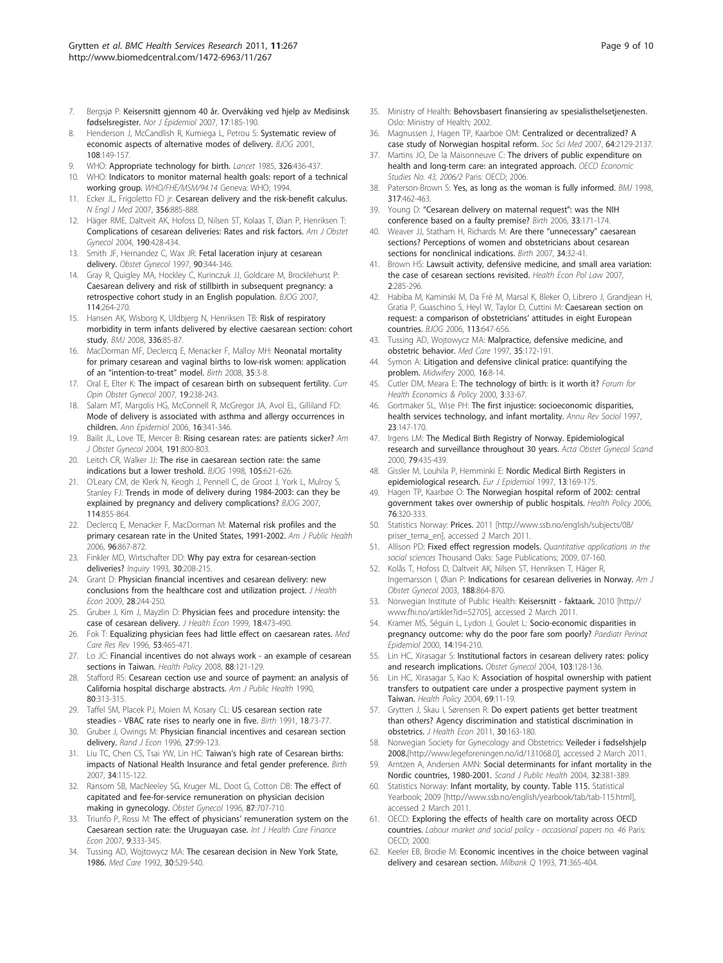- <span id="page-8-0"></span>7. Bergsjø P: Keisersnitt gjennom 40 år. Overvåking ved hjelp av Medisinsk fødselsregister. Nor J Epidemiol 2007, 17:185-190.
- 8. Henderson J, McCandlish R, Kumiega L, Petrou S: [Systematic review of](http://www.ncbi.nlm.nih.gov/pubmed/11236114?dopt=Abstract) [economic aspects of alternative modes of delivery.](http://www.ncbi.nlm.nih.gov/pubmed/11236114?dopt=Abstract) BJOG 2001, 108:149-157.
- 9. WHO: Appropriate technology for birth. Lancet 1985, 326:436-437.
- 10. WHO: Indicators to monitor maternal health goals: report of a technical working group. WHO/FHE/MSM/94.14 Geneva: WHO; 1994.
- 11. Ecker JL, Frigoletto FD jr: [Cesarean delivery and the risk-benefit calculus.](http://www.ncbi.nlm.nih.gov/pubmed/17329693?dopt=Abstract) N Engl J Med 2007, 356:885-888.
- 12. Häger RME, Daltveit AK, Hofoss D, Nilsen ST, Kolaas T, Øian P, Henriksen T: [Complications of cesarean deliveries: Rates and risk factors.](http://www.ncbi.nlm.nih.gov/pubmed/14981385?dopt=Abstract) Am J Obstet Gynecol 2004, 190:428-434.
- 13. Smith JF, Hernandez C, Wax JR: [Fetal laceration injury at cesarean](http://www.ncbi.nlm.nih.gov/pubmed/9277641?dopt=Abstract) [delivery.](http://www.ncbi.nlm.nih.gov/pubmed/9277641?dopt=Abstract) Obstet Gynecol 1997, 90:344-346.
- 14. Gray R, Quigley MA, Hockley C, Kurinczuk JJ, Goldcare M, Brocklehurst P: [Caesarean delivery and risk of stillbirth in subsequent pregnancy: a](http://www.ncbi.nlm.nih.gov/pubmed/17261119?dopt=Abstract) [retrospective cohort study in an English population.](http://www.ncbi.nlm.nih.gov/pubmed/17261119?dopt=Abstract) BJOG 2007, 114:264-270.
- 15. Hansen AK, Wisborg K, Uldbjerg N, Henriksen TB: [Risk of respiratory](http://www.ncbi.nlm.nih.gov/pubmed/18077440?dopt=Abstract) [morbidity in term infants delivered by elective caesarean section: cohort](http://www.ncbi.nlm.nih.gov/pubmed/18077440?dopt=Abstract) [study.](http://www.ncbi.nlm.nih.gov/pubmed/18077440?dopt=Abstract) BMJ 2008, 336:85-87.
- 16. MacDorman MF, Declercq E, Menacker F, Malloy MH: [Neonatal mortality](http://www.ncbi.nlm.nih.gov/pubmed/18307481?dopt=Abstract) [for primary cesarean and vaginal births to low-risk women: application](http://www.ncbi.nlm.nih.gov/pubmed/18307481?dopt=Abstract) of an "[intention-to-treat](http://www.ncbi.nlm.nih.gov/pubmed/18307481?dopt=Abstract)" model. Birth 2008, 35:3-8.
- 17. Oral E, Elter K: [The impact of cesarean birth on subsequent fertility.](http://www.ncbi.nlm.nih.gov/pubmed/17495639?dopt=Abstract) Curr Opin Obstet Gynecol 2007, 19:238-243.
- 18. Salam MT, Margolis HG, McConnell R, McGregor JA, Avol EL, Gilliland FD: [Mode of delivery is associated with asthma and allergy occurrences in](http://www.ncbi.nlm.nih.gov/pubmed/16242961?dopt=Abstract) [children.](http://www.ncbi.nlm.nih.gov/pubmed/16242961?dopt=Abstract) Ann Epidemiol 2006, 16:341-346.
- 19. Bailit JL, Love TE, Mercer B: [Rising cesarean rates: are patients sicker?](http://www.ncbi.nlm.nih.gov/pubmed/15467544?dopt=Abstract) Am J Obstet Gynecol 2004, 191:800-803.
- 20. Leitch CR, Walker JJ: The rise in caesarean section rate: the same indications but a lower treshold. BJOG 1998, 105:621-626.
- 21. O'Leary CM, de Klerk N, Keogh J, Pennell C, de Groot J, York L, Mulroy S, Stanley FJ: Trends [in mode of delivery during 1984-2003: can they be](http://www.ncbi.nlm.nih.gov/pubmed/17501962?dopt=Abstract) [explained by pregnancy and delivery complications?](http://www.ncbi.nlm.nih.gov/pubmed/17501962?dopt=Abstract) BJOG 2007, 114:855-864.
- 22. Declercq E, Menacker F, MacDorman M: [Maternal risk profiles and the](http://www.ncbi.nlm.nih.gov/pubmed/16571712?dopt=Abstract) [primary cesarean rate in the United States, 1991-2002.](http://www.ncbi.nlm.nih.gov/pubmed/16571712?dopt=Abstract) Am J Public Health 2006, 96:867-872.
- 23. Finkler MD, Wirtschafter DD: [Why pay extra for cesarean-section](http://www.ncbi.nlm.nih.gov/pubmed/8314609?dopt=Abstract) [deliveries?](http://www.ncbi.nlm.nih.gov/pubmed/8314609?dopt=Abstract) Inquiry 1993, 30:208-215.
- 24. Grant D: [Physician financial incentives and cesarean delivery: new](http://www.ncbi.nlm.nih.gov/pubmed/19027184?dopt=Abstract) [conclusions from the healthcare cost and utilization project.](http://www.ncbi.nlm.nih.gov/pubmed/19027184?dopt=Abstract) J Health Econ 2009, 28:244-250.
- 25. Gruber J, Kim J, Mayzlin D: [Physician fees and procedure intensity: the](http://www.ncbi.nlm.nih.gov/pubmed/10539618?dopt=Abstract) [case of cesarean delivery.](http://www.ncbi.nlm.nih.gov/pubmed/10539618?dopt=Abstract) J Health Econ 1999, 18:473-490.
- 26. Fok T: [Equalizing physician fees had little effect on caesarean rates.](http://www.ncbi.nlm.nih.gov/pubmed/10162961?dopt=Abstract) Med Care Res Rev 1996, 53:465-471.
- 27. Lo JC: [Financial incentives do not always work an example of cesarean](http://www.ncbi.nlm.nih.gov/pubmed/18436331?dopt=Abstract) [sections in Taiwan.](http://www.ncbi.nlm.nih.gov/pubmed/18436331?dopt=Abstract) Health Policy 2008, 88:121-129.
- 28. Stafford RS: [Cesarean cection use and source of payment: an analysis of](http://www.ncbi.nlm.nih.gov/pubmed/2305912?dopt=Abstract) [California hospital discharge abstracts.](http://www.ncbi.nlm.nih.gov/pubmed/2305912?dopt=Abstract) Am J Public Health 1990, 80:313-315.
- 29. Taffel SM, Placek PJ, Moien M, Kosary CL: [US cesarean section rate](http://www.ncbi.nlm.nih.gov/pubmed/1930436?dopt=Abstract) [steadies - VBAC rate rises to nearly one in five.](http://www.ncbi.nlm.nih.gov/pubmed/1930436?dopt=Abstract) Birth 1991, 18:73-77.
- 30. Gruber J, Owings M: [Physician financial incentives and cesarean section](http://www.ncbi.nlm.nih.gov/pubmed/10160536?dopt=Abstract) [delivery.](http://www.ncbi.nlm.nih.gov/pubmed/10160536?dopt=Abstract) Rand J Econ 1996, 27:99-123.
- 31. Liu TC, Chen CS, Tsai YW, Lin HC: Taiwan'[s high rate of Cesarean births:](http://www.ncbi.nlm.nih.gov/pubmed/17542815?dopt=Abstract) [impacts of National Health Insurance and fetal gender preference.](http://www.ncbi.nlm.nih.gov/pubmed/17542815?dopt=Abstract) Birth 2007, 34:115-122.
- 32. Ransom SB, MacNeeley SG, Kruger ML, Doot G, Cotton DB: [The effect of](http://www.ncbi.nlm.nih.gov/pubmed/8677071?dopt=Abstract) [capitated and fee-for-service remuneration on physician decision](http://www.ncbi.nlm.nih.gov/pubmed/8677071?dopt=Abstract) [making in gynecology.](http://www.ncbi.nlm.nih.gov/pubmed/8677071?dopt=Abstract) Obstet Gynecol 1996, 87:707-710.
- 33. Triunfo P, Rossi M: The effect of physicians' remuneration system on the Caesarean section rate: the Uruguayan case. Int J Health Care Finance Econ 2007, 9:333-345.
- 34. Tussing AD, Wojtowycz MA: [The cesarean decision in New York State,](http://www.ncbi.nlm.nih.gov/pubmed/1593918?dopt=Abstract) [1986.](http://www.ncbi.nlm.nih.gov/pubmed/1593918?dopt=Abstract) Med Care 1992, 30:529-540.
- 35. Ministry of Health: Behovsbasert finansiering av spesialisthelsetjenesten. Oslo: Ministry of Health; 2002.
- 36. Magnussen J, Hagen TP, Kaarboe OM: [Centralized or decentralized? A](http://www.ncbi.nlm.nih.gov/pubmed/17368681?dopt=Abstract) [case study of Norwegian hospital reform.](http://www.ncbi.nlm.nih.gov/pubmed/17368681?dopt=Abstract) Soc Sci Med 2007, 64:2129-2137.
- 37. Martins JO, De la Maisonneuve C: The drivers of public expenditure on health and long-term care: an integrated approach. OECD Economic Studies No. 43, 2006/2 Paris: OECD; 2006.
- 38. Paterson-Brown S: [Yes, as long as the woman is fully informed.](http://www.ncbi.nlm.nih.gov/pubmed/9703532?dopt=Abstract) BMJ 1998, 317:462-463.
- 39. Young D: "[Cesarean delivery on maternal request": was the NIH](http://www.ncbi.nlm.nih.gov/pubmed/16948716?dopt=Abstract) [conference based on a faulty premise?](http://www.ncbi.nlm.nih.gov/pubmed/16948716?dopt=Abstract) Birth 2006, 33:171-174.
- 40. Weaver JJ, Statham H, Richards M: Are there "[unnecessary](http://www.ncbi.nlm.nih.gov/pubmed/17324176?dopt=Abstract)" caesarean [sections? Perceptions of women and obstetricians about cesarean](http://www.ncbi.nlm.nih.gov/pubmed/17324176?dopt=Abstract) [sections for nonclinical indications.](http://www.ncbi.nlm.nih.gov/pubmed/17324176?dopt=Abstract) Birth 2007, 34:32-41.
- 41. Brown HS: Lawsuit activity, defensive medicine, and small area variation: the case of cesarean sections revisited. Health Econ Pol Law 2007, 2:285-296.
- 42. Habiba M, Kaminski M, Da Fré M, Marsal K, Bleker O, Librero J, Grandjean H, Gratia P, Guaschino S, Heyl W, Taylor D, Cuttini M: [Caesarean section on](http://www.ncbi.nlm.nih.gov/pubmed/16709207?dopt=Abstract) [request: a comparison of obstetricians](http://www.ncbi.nlm.nih.gov/pubmed/16709207?dopt=Abstract)' attitudes in eight European [countries.](http://www.ncbi.nlm.nih.gov/pubmed/16709207?dopt=Abstract) BJOG 2006, 113:647-656.
- 43. Tussing AD, Wojtowycz MA: [Malpractice, defensive medicine, and](http://www.ncbi.nlm.nih.gov/pubmed/9017954?dopt=Abstract) [obstetric behavior.](http://www.ncbi.nlm.nih.gov/pubmed/9017954?dopt=Abstract) Med Care 1997, 35:172-191.
- 44. Symon A: [Litigation and defensive clinical pratice: quantifying the](http://www.ncbi.nlm.nih.gov/pubmed/11139864?dopt=Abstract) [problem.](http://www.ncbi.nlm.nih.gov/pubmed/11139864?dopt=Abstract) Midwifery 2000, 16:8-14.
- 45. Cutler DM, Meara E: [The technology of birth: is it worth it?](http://www.ncbi.nlm.nih.gov/pubmed/21808106?dopt=Abstract) Forum for Health Economics & Policy 2000, 3:33-67.
- 46. Gortmaker SL, Wise PH: [The first injustice: socioeconomic disparities,](http://www.ncbi.nlm.nih.gov/pubmed/12348279?dopt=Abstract) [health services technology, and infant mortality.](http://www.ncbi.nlm.nih.gov/pubmed/12348279?dopt=Abstract) Annu Rev Sociol 1997, 23:147-170.
- 47. Irgens LM: [The Medical Birth Registry of Norway. Epidemiological](http://www.ncbi.nlm.nih.gov/pubmed/10857866?dopt=Abstract) [research and surveillance throughout 30 years.](http://www.ncbi.nlm.nih.gov/pubmed/10857866?dopt=Abstract) Acta Obstet Gynecol Scand 2000, 79:435-439.
- 48. Gissler M, Louhila P, Hemminki E: [Nordic Medical Birth Registers in](http://www.ncbi.nlm.nih.gov/pubmed/9085000?dopt=Abstract) [epidemiological research.](http://www.ncbi.nlm.nih.gov/pubmed/9085000?dopt=Abstract) Eur J Epidemiol 1997, 13:169-175.
- 49. Hagen TP, Kaarbøe O: [The Norwegian hospital reform of 2002: central](http://www.ncbi.nlm.nih.gov/pubmed/16099530?dopt=Abstract) [government takes over ownership of public hospitals.](http://www.ncbi.nlm.nih.gov/pubmed/16099530?dopt=Abstract) Health Policy 2006, 76:320-333.
- 50. Statistics Norway: Prices. 2011 [\[http://www.ssb.no/english/subjects/08/](http://www.ssb.no/english/subjects/08/priser_tema_en) [priser\\_tema\\_en\]](http://www.ssb.no/english/subjects/08/priser_tema_en), accessed 2 March 2011.
- 51. Allison PD: Fixed effect regression models. Quantitative applications in the social sciences Thousand Oaks: Sage Publications; 2009, 07-160.
- 52. Kolås T, Hofoss D, Daltveit AK, Nilsen ST, Henriksen T, Häger R, Ingemarsson I, Øian P: [Indications for cesarean deliveries in Norway.](http://www.ncbi.nlm.nih.gov/pubmed/12712077?dopt=Abstract) Am J Obstet Gynecol 2003, 188:864-870.
- 53. Norwegian Institute of Public Health: Keisersnitt faktaark. 2010 [\[http://](http://www.fhi.no/artikler?id=52705) [www.fhi.no/artikler?id=52705](http://www.fhi.no/artikler?id=52705)], accessed 2 March 2011.
- 54. Kramer MS, Séguin L, Lydon J, Goulet L: [Socio-economic disparities in](http://www.ncbi.nlm.nih.gov/pubmed/10949211?dopt=Abstract) [pregnancy outcome: why do the poor fare som poorly?](http://www.ncbi.nlm.nih.gov/pubmed/10949211?dopt=Abstract) Paediatr Perinat Epidemiol 2000, 14:194-210.
- 55. Lin HC, Xirasagar S: [Institutional factors in cesarean delivery rates: policy](http://www.ncbi.nlm.nih.gov/pubmed/14704256?dopt=Abstract) [and research implications.](http://www.ncbi.nlm.nih.gov/pubmed/14704256?dopt=Abstract) Obstet Gynecol 2004, 103:128-136.
- 56. Lin HC, Xirasagar S, Kao K: [Association of hospital ownership with patient](http://www.ncbi.nlm.nih.gov/pubmed/15484603?dopt=Abstract) [transfers to outpatient care under a prospective payment system in](http://www.ncbi.nlm.nih.gov/pubmed/15484603?dopt=Abstract) [Taiwan.](http://www.ncbi.nlm.nih.gov/pubmed/15484603?dopt=Abstract) Health Policy 2004, 69:11-19.
- 57. Grytten J, Skau I, Sørensen R: [Do expert patients get better treatment](http://www.ncbi.nlm.nih.gov/pubmed/21095034?dopt=Abstract) [than others? Agency discrimination and statistical discrimination in](http://www.ncbi.nlm.nih.gov/pubmed/21095034?dopt=Abstract) [obstetrics.](http://www.ncbi.nlm.nih.gov/pubmed/21095034?dopt=Abstract) J Health Econ 2011, 30:163-180.
- 58. Norwegian Society for Gynecology and Obstetrics: Veileder i fødselshjelp 2008.[\[http://www.legeforeningen.no/id/131068.0\]](http://www.legeforeningen.no/id/131068.0), accessed 2 March 2011.
- 59. Arntzen A, Andersen AMN: [Social determinants for infant mortality in the](http://www.ncbi.nlm.nih.gov/pubmed/15513672?dopt=Abstract) [Nordic countries, 1980-2001.](http://www.ncbi.nlm.nih.gov/pubmed/15513672?dopt=Abstract) Scand J Public Health 2004, 32:381-389.
- 60. Statistics Norway: Infant mortality, by county. Table 115. Statistical Yearbook; 2009 [[http://www.ssb.no/english/yearbook/tab/tab-115.html\]](http://www.ssb.no/english/yearbook/tab/tab-115.html), accessed 2 March 2011.
- 61. OECD: Exploring the effects of health care on mortality across OECD countries. Labour market and social policy - occasional papers no. 46 Paris: OECD; 2000.
- 62. Keeler EB, Brodie M: [Economic incentives in the choice between vaginal](http://www.ncbi.nlm.nih.gov/pubmed/8413067?dopt=Abstract) [delivery and cesarean section.](http://www.ncbi.nlm.nih.gov/pubmed/8413067?dopt=Abstract) Milbank Q 1993, 71:365-404.